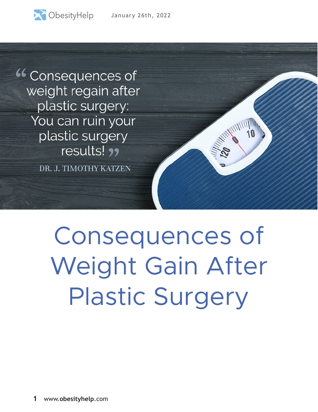<sup>66</sup> Consequences of weight regain after plastic surgery: You can ruin your plastic surgery results! "

DR. J. TIMOTHY KATZEN

# Consequences of Weight Gain After Plastic Surgery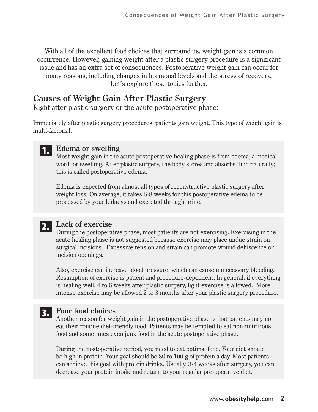With all of the excellent food choices that surround us, weight gain is a common occurrence. However, gaining weight after a plastic surgery procedure is a significant issue and has an extra set of consequences. Postoperative weight gain can occur for many reasons, including changes in hormonal levels and the stress of recovery. Let's explore these topics further.

# **Causes of Weight Gain After Plastic Surgery**

Right after plastic surgery or the acute postoperative phase:

Immediately after plastic surgery procedures, patients gain weight. This type of weight gain is multi-factorial.



# **1.** Edema or swelling

Most weight gain in the acute postoperative healing phase is from edema, a medical word for swelling. After plastic surgery, the body stores and absorbs fluid naturally; this is called postoperative edema.

Edema is expected from almost all types of reconstructive plastic surgery after weight loss. On average, it takes 6-8 weeks for this postoperative edema to be processed by your kidneys and excreted through urine.



# 2. Lack of exercise

During the postoperative phase, most patients are not exercising. Exercising in the acute healing phase is not suggested because exercise may place undue strain on surgical incisions. Excessive tension and strain can promote wound dehiscence or incision openings.

Also, exercise can increase blood pressure, which can cause unnecessary bleeding. Resumption of exercise is patient and procedure-dependent. In general, if everything is healing well, 4 to 6 weeks after plastic surgery, light exercise is allowed. More intense exercise may be allowed 2 to 3 months after your plastic surgery procedure.

# **Poor food choices** 3.

Another reason for weight gain in the postoperative phase is that patients may not eat their routine diet-friendly food. Patients may be tempted to eat non-nutritious food and sometimes even junk food in the acute postoperative phase.

During the postoperative period, you need to eat optimal food. Your diet should be high in protein. Your goal should be 80 to 100 g of protein a day. Most patients can achieve this goal with protein drinks. Usually, 3-4 weeks after surgery, you can decrease your protein intake and return to your regular pre-operative diet.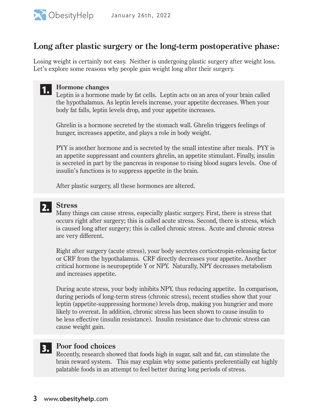

## **Long after plastic surgery or the long-term postoperative phase:**

Losing weight is certainly not easy. Neither is undergoing plastic surgery after weight loss. Let's explore some reasons why people gain weight long after their surgery.

#### **Hormone changes** 1.

Leptin is a hormone made by fat cells. Leptin acts on an area of your brain called the hypothalamus. As leptin levels increase, your appetite decreases. When your body fat falls, leptin levels drop, and your appetite increases.

Ghrelin is a hormone secreted by the stomach wall. Ghrelin triggers feelings of hunger, increases appetite, and plays a role in body weight.

PYY is another hormone and is secreted by the small intestine after meals. PYY is an appetite suppressant and counters ghrelin, an appetite stimulant. Finally, insulin is secreted in part by the pancreas in response to rising blood sugars levels. One of insulin's functions is to suppress appetite in the brain.

After plastic surgery, all these hormones are altered.



# **Stress** 2.

Many things can cause stress, especially plastic surgery. First, there is stress that occurs right after surgery; this is called acute stress. Second, there is stress, which is caused long after surgery; this is called chronic stress. Acute and chronic stress are very different.

Right after surgery (acute stress), your body secretes corticotropin-releasing factor or CRF from the hypothalamus. CRF directly decreases your appetite. Another critical hormone is neuropeptide Y or NPY. Naturally, NPY decreases metabolism and increases appetite.

During acute stress, your body inhibits NPY, thus reducing appetite. In comparison, during periods of long-term stress (chronic stress), recent studies show that your leptin (appetite-suppressing hormone) levels drop, making you hungrier and more likely to overeat. In addition, chronic stress has been shown to cause insulin to be less effective (insulin resistance). Insulin resistance due to chronic stress can cause weight gain.

#### **Poor food choices** 3.

Recently, research showed that foods high in sugar, salt and fat, can stimulate the brain reward system. This may explain why some patients preferentially eat highly palatable foods in an attempt to feel better during long periods of stress.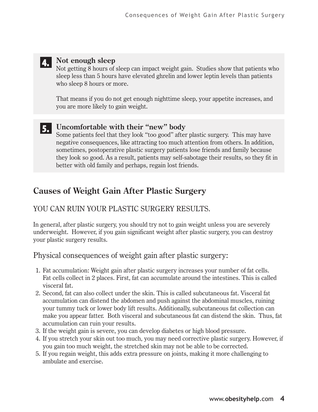# **4.** Not enough sleep

Not getting 8 hours of sleep can impact weight gain. Studies show that patients who sleep less than 5 hours have elevated ghrelin and lower leptin levels than patients who sleep 8 hours or more.

That means if you do not get enough nighttime sleep, your appetite increases, and you are more likely to gain weight.

### **5.** Uncomfortable with their "new" body<br>Some patients feel that they leak "too good" after Some patients feel that they look "too good" after plastic surgery. This may have negative consequences, like attracting too much attention from others. In addition, sometimes, postoperative plastic surgery patients lose friends and family because they look so good. As a result, patients may self-sabotage their results, so they fit in better with old family and perhaps, regain lost friends.

# **Causes of Weight Gain After Plastic Surgery**

### YOU CAN RUIN YOUR PLASTIC SURGERY RESULTS.

In general, after plastic surgery, you should try not to gain weight unless you are severely underweight. However, if you gain significant weight after plastic surgery, you can destroy your plastic surgery results.

### Physical consequences of weight gain after plastic surgery:

- 1. Fat accumulation: Weight gain after plastic surgery increases your number of fat cells. Fat cells collect in 2 places. First, fat can accumulate around the intestines. This is called visceral fat.
- 2. Second, fat can also collect under the skin. This is called subcutaneous fat. Visceral fat accumulation can distend the abdomen and push against the abdominal muscles, ruining your tummy tuck or lower body lift results. Additionally, subcutaneous fat collection can make you appear fatter. Both visceral and subcutaneous fat can distend the skin. Thus, fat accumulation can ruin your results.
- 3. If the weight gain is severe, you can develop diabetes or high blood pressure.
- 4. If you stretch your skin out too much, you may need corrective plastic surgery. However, if you gain too much weight, the stretched skin may not be able to be corrected.
- 5. If you regain weight, this adds extra pressure on joints, making it more challenging to ambulate and exercise.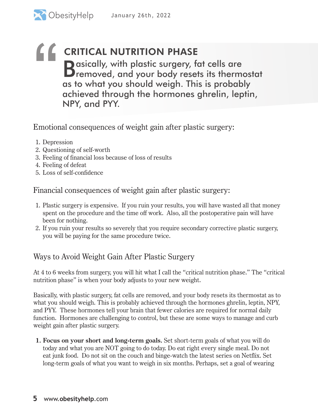**D**asically, with plastic surgery, fat cells are<br>**D**removed, and your body resets its thermostat as to what you should weigh. This is probably achieved through the hormones ghrelin, leptin, " NPY, and PYY. CRITICAL NUTRITION PHASE

Emotional consequences of weight gain after plastic surgery:

- 1. Depression
- 2. Questioning of self-worth
- 3. Feeling of financial loss because of loss of results
- 4. Feeling of defeat
- 5. Loss of self-confidence

Financial consequences of weight gain after plastic surgery:

- 1. Plastic surgery is expensive. If you ruin your results, you will have wasted all that money spent on the procedure and the time off work. Also, all the postoperative pain will have been for nothing.
- 2. If you ruin your results so severely that you require secondary corrective plastic surgery, you will be paying for the same procedure twice.

### Ways to Avoid Weight Gain After Plastic Surgery

At 4 to 6 weeks from surgery, you will hit what I call the "critical nutrition phase." The "critical nutrition phase" is when your body adjusts to your new weight.

Basically, with plastic surgery, fat cells are removed, and your body resets its thermostat as to what you should weigh. This is probably achieved through the hormones ghrelin, leptin, NPY, and PYY. These hormones tell your brain that fewer calories are required for normal daily function. Hormones are challenging to control, but these are some ways to manage and curb weight gain after plastic surgery.

**1. Focus on your short and long-term goals.** Set short-term goals of what you will do today and what you are NOT going to do today. Do eat right every single meal. Do not eat junk food. Do not sit on the couch and binge-watch the latest series on Netflix. Set long-term goals of what you want to weigh in six months. Perhaps, set a goal of wearing